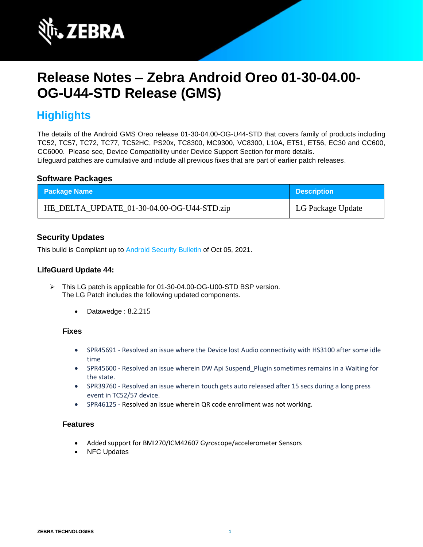

# **Release Notes – Zebra Android Oreo 01-30-04.00- OG-U44-STD Release (GMS)**

# **Highlights**

The details of the Android GMS Oreo release 01-30-04.00-OG-U44-STD that covers family of products including TC52, TC57, TC72, TC77, TC52HC, PS20x, TC8300, MC9300, VC8300, L10A, ET51, ET56, EC30 and CC600, CC6000. Please see, Device Compatibility under Device Support Section for more details. Lifeguard patches are cumulative and include all previous fixes that are part of earlier patch releases.

# **Software Packages**

| <b>Package Name</b>                        | <b>Description</b> |
|--------------------------------------------|--------------------|
| HE_DELTA_UPDATE_01-30-04.00-OG-U44-STD.zip | LG Package Update  |

# **Security Updates**

This build is Compliant up to [Android Security Bulletin](https://source.android.com/security/bulletin/) of Oct 05, 2021.

# **LifeGuard Update 44:**

- ➢ This LG patch is applicable for 01-30-04.00-OG-U00-STD BSP version. The LG Patch includes the following updated components.
	- Datawedge : 8.2.215

# **Fixes**

- SPR45691 Resolved an issue where the Device lost Audio connectivity with HS3100 after some idle time
- SPR45600 Resolved an issue wherein DW Api Suspend\_Plugin sometimes remains in a Waiting for the state.
- SPR39760 Resolved an issue wherein touch gets auto released after 15 secs during a long press event in TC52/57 device.
- SPR46125 Resolved an issue wherein QR code enrollment was not working.

- Added support for BMI270/ICM42607 Gyroscope/accelerometer Sensors
- NFC Updates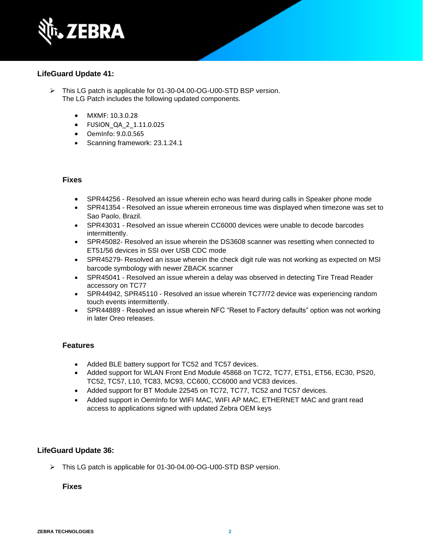

# **LifeGuard Update 41:**

- ➢ This LG patch is applicable for 01-30-04.00-OG-U00-STD BSP version. The LG Patch includes the following updated components.
	- MXMF: 10.3.0.28
	- FUSION\_QA\_2\_1.11.0.025
	- OemInfo: 9.0.0.565
	- Scanning framework: 23.1.24.1

#### **Fixes**

- SPR44256 Resolved an issue wherein echo was heard during calls in Speaker phone mode
- SPR41354 Resolved an issue wherein erroneous time was displayed when timezone was set to Sao Paolo, Brazil.
- SPR43031 Resolved an issue wherein CC6000 devices were unable to decode barcodes intermittently.
- SPR45082- Resolved an issue wherein the DS3608 scanner was resetting when connected to ET51/56 devices in SSI over USB CDC mode
- SPR45279- Resolved an issue wherein the check digit rule was not working as expected on MSI barcode symbology with newer ZBACK scanner
- SPR45041 Resolved an issue wherein a delay was observed in detecting Tire Tread Reader accessory on TC77
- SPR44942, SPR45110 Resolved an issue wherein TC77/72 device was experiencing random touch events intermittently.
- SPR44889 Resolved an issue wherein NFC "Reset to Factory defaults" option was not working in later Oreo releases.

# **Features**

- Added BLE battery support for TC52 and TC57 devices.
- Added support for WLAN Front End Module 45868 on TC72, TC77, ET51, ET56, EC30, PS20, TC52, TC57, L10, TC83, MC93, CC600, CC6000 and VC83 devices.
- Added support for BT Module 22545 on TC72, TC77, TC52 and TC57 devices.
- Added support in OemInfo for WIFI MAC, WIFI AP MAC, ETHERNET MAC and grant read access to applications signed with updated Zebra OEM keys

# **LifeGuard Update 36:**

➢ This LG patch is applicable for 01-30-04.00-OG-U00-STD BSP version.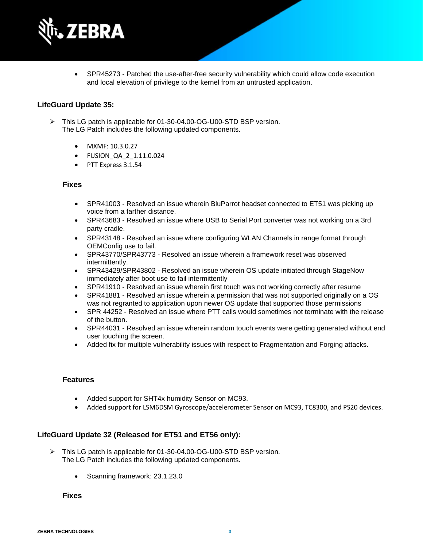

• SPR45273 - Patched the use-after-free security vulnerability which could allow code execution and local elevation of privilege to the kernel from an untrusted application.

# **LifeGuard Update 35:**

- ➢ This LG patch is applicable for 01-30-04.00-OG-U00-STD BSP version. The LG Patch includes the following updated components.
	- MXMF: 10.3.0.27
	- FUSION\_QA\_2\_1.11.0.024
	- PTT Express 3.1.54

#### **Fixes**

- SPR41003 Resolved an issue wherein BluParrot headset connected to ET51 was picking up voice from a farther distance.
- SPR43683 Resolved an issue where USB to Serial Port converter was not working on a 3rd party cradle.
- SPR43148 Resolved an issue where configuring WLAN Channels in range format through OEMConfig use to fail.
- SPR43770/SPR43773 Resolved an issue wherein a framework reset was observed intermittently.
- SPR43429/SPR43802 Resolved an issue wherein OS update initiated through StageNow immediately after boot use to fail intermittently
- SPR41910 Resolved an issue wherein first touch was not working correctly after resume
- SPR41881 Resolved an issue wherein a permission that was not supported originally on a OS was not regranted to application upon newer OS update that supported those permissions
- SPR 44252 Resolved an issue where PTT calls would sometimes not terminate with the release of the button.
- SPR44031 Resolved an issue wherein random touch events were getting generated without end user touching the screen.
- Added fix for multiple vulnerability issues with respect to Fragmentation and Forging attacks.

#### **Features**

- Added support for SHT4x humidity Sensor on MC93.
- Added support for LSM6DSM Gyroscope/accelerometer Sensor on MC93, TC8300, and PS20 devices.

# **LifeGuard Update 32 (Released for ET51 and ET56 only):**

- ➢ This LG patch is applicable for 01-30-04.00-OG-U00-STD BSP version. The LG Patch includes the following updated components.
	- Scanning framework: 23.1.23.0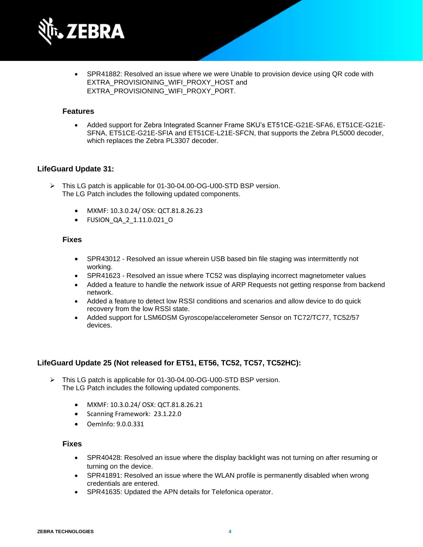

• SPR41882: Resolved an issue where we were Unable to provision device using QR code with EXTRA\_PROVISIONING\_WIFI\_PROXY\_HOST and EXTRA\_PROVISIONING\_WIFI\_PROXY\_PORT.

# **Features**

• Added support for Zebra Integrated Scanner Frame SKU's ET51CE-G21E-SFA6, ET51CE-G21E-SFNA, ET51CE-G21E-SFIA and ET51CE-L21E-SFCN, that supports the Zebra PL5000 decoder, which replaces the Zebra PL3307 decoder.

# **LifeGuard Update 31:**

- ➢ This LG patch is applicable for 01-30-04.00-OG-U00-STD BSP version. The LG Patch includes the following updated components.
	- MXMF: 10.3.0.24/ OSX: QCT.81.8.26.23
	- FUSION\_QA\_2\_1.11.0.021\_O

#### **Fixes**

- SPR43012 Resolved an issue wherein USB based bin file staging was intermittently not working.
- SPR41623 Resolved an issue where TC52 was displaying incorrect magnetometer values
- Added a feature to handle the network issue of ARP Requests not getting response from backend network.
- Added a feature to detect low RSSI conditions and scenarios and allow device to do quick recovery from the low RSSI state.
- Added support for LSM6DSM Gyroscope/accelerometer Sensor on TC72/TC77, TC52/57 devices.

# **LifeGuard Update 25 (Not released for ET51, ET56, TC52, TC57, TC52HC):**

- ➢ This LG patch is applicable for 01-30-04.00-OG-U00-STD BSP version. The LG Patch includes the following updated components.
	- MXMF: 10.3.0.24/ OSX: QCT.81.8.26.21
	- Scanning Framework: 23.1.22.0
	- OemInfo: 9.0.0.331

- SPR40428: Resolved an issue where the display backlight was not turning on after resuming or turning on the device.
- SPR41891: Resolved an issue where the WLAN profile is permanently disabled when wrong credentials are entered.
- SPR41635: Updated the APN details for Telefonica operator.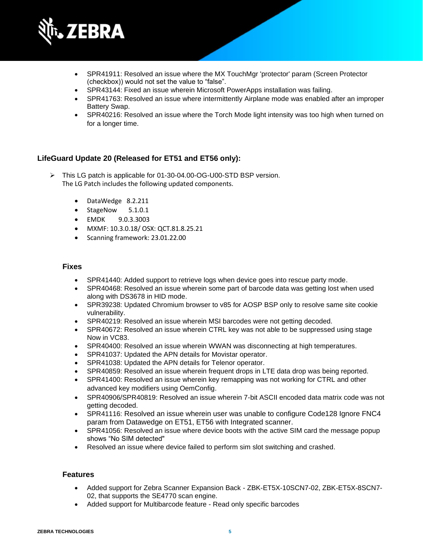

- SPR41911: Resolved an issue where the MX TouchMgr 'protector' param (Screen Protector (checkbox)) would not set the value to "false".
- SPR43144: Fixed an issue wherein Microsoft PowerApps installation was failing.
- SPR41763: Resolved an issue where intermittently Airplane mode was enabled after an improper Battery Swap.
- SPR40216: Resolved an issue where the Torch Mode light intensity was too high when turned on for a longer time.

# **LifeGuard Update 20 (Released for ET51 and ET56 only):**

- ➢ This LG patch is applicable for 01-30-04.00-OG-U00-STD BSP version. The LG Patch includes the following updated components.
	- DataWedge 8.2.211
	- StageNow 5.1.0.1
	- EMDK 9.0.3.3003
	- MXMF: 10.3.0.18/ OSX: QCT.81.8.25.21
	- Scanning framework: 23.01.22.00

#### **Fixes**

- SPR41440: Added support to retrieve logs when device goes into rescue party mode.
- SPR40468: Resolved an issue wherein some part of barcode data was getting lost when used along with DS3678 in HID mode.
- SPR39238: Updated Chromium browser to v85 for AOSP BSP only to resolve same site cookie vulnerability.
- SPR40219: Resolved an issue wherein MSI barcodes were not getting decoded.
- SPR40672: Resolved an issue wherein CTRL key was not able to be suppressed using stage Now in VC83.
- SPR40400: Resolved an issue wherein WWAN was disconnecting at high temperatures.
- SPR41037: Updated the APN details for Movistar operator.
- SPR41038: Updated the APN details for Telenor operator.
- SPR40859: Resolved an issue wherein frequent drops in LTE data drop was being reported.
- SPR41400: Resolved an issue wherein key remapping was not working for CTRL and other advanced key modifiers using OemConfig.
- SPR40906/SPR40819: Resolved an issue wherein 7-bit ASCII encoded data matrix code was not getting decoded.
- SPR41116: Resolved an issue wherein user was unable to configure Code128 Ignore FNC4 param from Datawedge on ET51, ET56 with Integrated scanner.
- SPR41056: Resolved an issue where device boots with the active SIM card the message popup shows "No SIM detected"
- Resolved an issue where device failed to perform sim slot switching and crashed.

- Added support for Zebra Scanner Expansion Back ZBK-ET5X-10SCN7-02, ZBK-ET5X-8SCN7- 02, that supports the SE4770 scan engine.
- Added support for Multibarcode feature Read only specific barcodes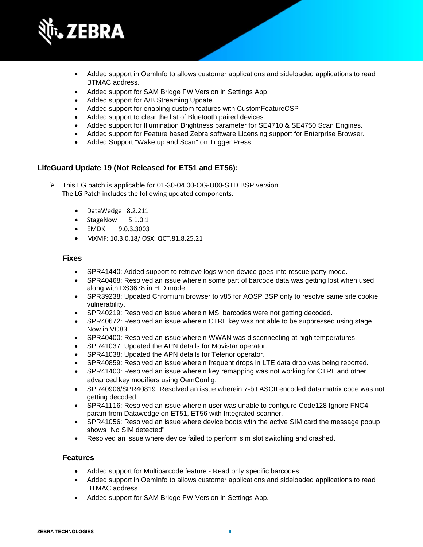

- Added support in OemInfo to allows customer applications and sideloaded applications to read BTMAC address.
- Added support for SAM Bridge FW Version in Settings App.
- Added support for A/B Streaming Update.
- Added support for enabling custom features with CustomFeatureCSP
- Added support to clear the list of Bluetooth paired devices.
- Added support for Illumination Brightness parameter for SE4710 & SE4750 Scan Engines.
- Added support for Feature based Zebra software Licensing support for Enterprise Browser.
- Added Support "Wake up and Scan" on Trigger Press

# **LifeGuard Update 19 (Not Released for ET51 and ET56):**

➢ This LG patch is applicable for 01-30-04.00-OG-U00-STD BSP version. The LG Patch includes the following updated components.

- DataWedge 8.2.211
- StageNow 5.1.0.1
- EMDK 9.0.3.3003
- MXMF: 10.3.0.18/ OSX: QCT.81.8.25.21

#### **Fixes**

- SPR41440: Added support to retrieve logs when device goes into rescue party mode.
- SPR40468: Resolved an issue wherein some part of barcode data was getting lost when used along with DS3678 in HID mode.
- SPR39238: Updated Chromium browser to v85 for AOSP BSP only to resolve same site cookie vulnerability.
- SPR40219: Resolved an issue wherein MSI barcodes were not getting decoded.
- SPR40672: Resolved an issue wherein CTRL key was not able to be suppressed using stage Now in VC83.
- SPR40400: Resolved an issue wherein WWAN was disconnecting at high temperatures.
- SPR41037: Updated the APN details for Movistar operator.
- SPR41038: Updated the APN details for Telenor operator.
- SPR40859: Resolved an issue wherein frequent drops in LTE data drop was being reported.
- SPR41400: Resolved an issue wherein key remapping was not working for CTRL and other advanced key modifiers using OemConfig.
- SPR40906/SPR40819: Resolved an issue wherein 7-bit ASCII encoded data matrix code was not getting decoded.
- SPR41116: Resolved an issue wherein user was unable to configure Code128 Ignore FNC4 param from Datawedge on ET51, ET56 with Integrated scanner.
- SPR41056: Resolved an issue where device boots with the active SIM card the message popup shows "No SIM detected"
- Resolved an issue where device failed to perform sim slot switching and crashed.

- Added support for Multibarcode feature Read only specific barcodes
- Added support in OemInfo to allows customer applications and sideloaded applications to read BTMAC address.
- Added support for SAM Bridge FW Version in Settings App.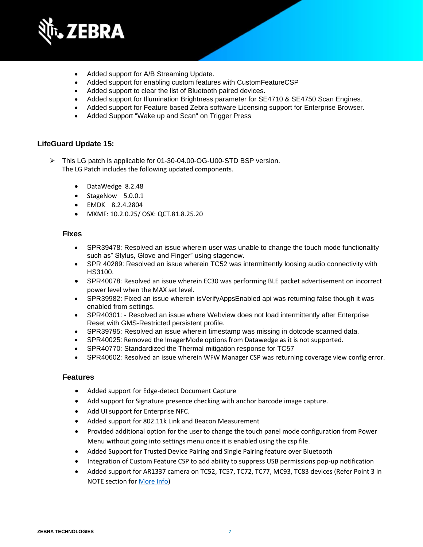

- Added support for A/B Streaming Update.
- Added support for enabling custom features with CustomFeatureCSP
- Added support to clear the list of Bluetooth paired devices.
- Added support for Illumination Brightness parameter for SE4710 & SE4750 Scan Engines.
- Added support for Feature based Zebra software Licensing support for Enterprise Browser.
- Added Support "Wake up and Scan" on Trigger Press

# **LifeGuard Update 15:**

- ➢ This LG patch is applicable for 01-30-04.00-OG-U00-STD BSP version. The LG Patch includes the following updated components.
	- DataWedge 8.2.48
	- StageNow 5.0.0.1
	- EMDK 8.2.4.2804
	- MXMF: 10.2.0.25/ OSX: QCT.81.8.25.20

#### **Fixes**

- SPR39478: Resolved an issue wherein user was unable to change the touch mode functionality such as" Stylus, Glove and Finger" using stagenow.
- SPR 40289: Resolved an issue wherein TC52 was intermittently loosing audio connectivity with HS3100.
- SPR40078: Resolved an issue wherein EC30 was performing BLE packet advertisement on incorrect power level when the MAX set level.
- SPR39982: Fixed an issue wherein isVerifyAppsEnabled api was returning false though it was enabled from settings.
- SPR40301: Resolved an issue where Webview does not load intermittently after Enterprise Reset with GMS-Restricted persistent profile.
- SPR39795: Resolved an issue wherein timestamp was missing in dotcode scanned data.
- SPR40025: Removed the ImagerMode options from Datawedge as it is not supported.
- SPR40770: Standardized the Thermal mitigation response for TC57
- SPR40602: Resolved an issue wherein WFW Manager CSP was returning coverage view config error.

- Added support for Edge-detect Document Capture
- Add support for Signature presence checking with anchor barcode image capture.
- Add UI support for Enterprise NFC.
- Added support for 802.11k Link and Beacon Measurement
- Provided additional option for the user to change the touch panel mode configuration from Power Menu without going into settings menu once it is enabled using the csp file.
- Added Support for Trusted Device Pairing and Single Pairing feature over Bluetooth
- Integration of Custom Feature CSP to add ability to suppress USB permissions pop-up notification
- Added support for AR1337 camera on TC52, TC57, TC72, TC77, MC93, TC83 devices (Refer Point 3 in NOTE section fo[r More Info\)](#page-12-0)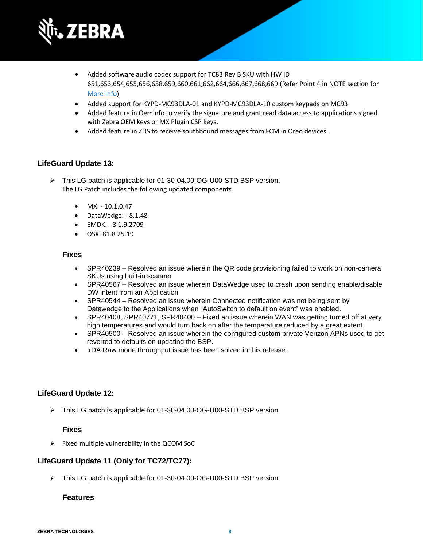

- Added software audio codec support for TC83 Rev B SKU with HW ID 651,653,654,655,656,658,659,660,661,662,664,666,667,668,669 (Refer Point 4 in NOTE section for [More Info\)](#page-12-0)
- Added support for KYPD-MC93DLA-01 and KYPD-MC93DLA-10 custom keypads on MC93
- Added feature in OemInfo to verify the signature and grant read data access to applications signed with Zebra OEM keys or MX Plugin CSP keys.
- Added feature in ZDS to receive southbound messages from FCM in Oreo devices.

# **LifeGuard Update 13:**

- ➢ This LG patch is applicable for 01-30-04.00-OG-U00-STD BSP version. The LG Patch includes the following updated components.
	- MX: 10.1.0.47
	- DataWedge: 8.1.48
	- EMDK: 8.1.9.2709
	- OSX: 81.8.25.19

#### **Fixes**

- SPR40239 Resolved an issue wherein the QR code provisioning failed to work on non-camera SKUs using built-in scanner
- SPR40567 Resolved an issue wherein DataWedge used to crash upon sending enable/disable DW intent from an Application
- SPR40544 Resolved an issue wherein Connected notification was not being sent by Datawedge to the Applications when "AutoSwitch to default on event" was enabled.
- SPR40408, SPR40771, SPR40400 Fixed an issue wherein WAN was getting turned off at very high temperatures and would turn back on after the temperature reduced by a great extent.
- SPR40500 Resolved an issue wherein the configured custom private Verizon APNs used to get reverted to defaults on updating the BSP.
- IrDA Raw mode throughput issue has been solved in this release.

# **LifeGuard Update 12:**

➢ This LG patch is applicable for 01-30-04.00-OG-U00-STD BSP version.

# **Fixes**

 $\triangleright$  Fixed multiple vulnerability in the QCOM SoC

# **LifeGuard Update 11 (Only for TC72/TC77):**

➢ This LG patch is applicable for 01-30-04.00-OG-U00-STD BSP version.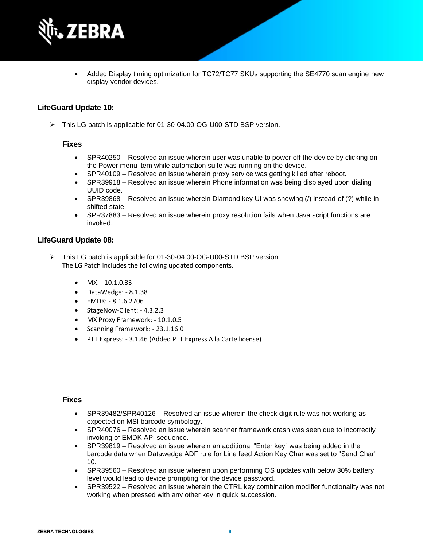

• Added Display timing optimization for TC72/TC77 SKUs supporting the SE4770 scan engine new display vendor devices.

# **LifeGuard Update 10:**

➢ This LG patch is applicable for 01-30-04.00-OG-U00-STD BSP version.

#### **Fixes**

- SPR40250 Resolved an issue wherein user was unable to power off the device by clicking on the Power menu item while automation suite was running on the device.
- SPR40109 Resolved an issue wherein proxy service was getting killed after reboot.
- SPR39918 Resolved an issue wherein Phone information was being displayed upon dialing UUID code.
- SPR39868 Resolved an issue wherein Diamond key UI was showing (*/*) instead of (?) while in shifted state.
- SPR37883 Resolved an issue wherein proxy resolution fails when Java script functions are invoked.

# **LifeGuard Update 08:**

- ➢ This LG patch is applicable for 01-30-04.00-OG-U00-STD BSP version. The LG Patch includes the following updated components.
	- $MX: -10.1.0.33$
	- DataWedge: 8.1.38
	- EMDK: 8.1.6.2706
	- StageNow-Client: 4.3.2.3
	- MX Proxy Framework: 10.1.0.5
	- Scanning Framework: 23.1.16.0
	- PTT Express: 3.1.46 (Added PTT Express A la Carte license)

- SPR39482/SPR40126 Resolved an issue wherein the check digit rule was not working as expected on MSI barcode symbology.
- SPR40076 Resolved an issue wherein scanner framework crash was seen due to incorrectly invoking of EMDK API sequence.
- SPR39819 Resolved an issue wherein an additional "Enter key" was being added in the barcode data when Datawedge ADF rule for Line feed Action Key Char was set to "Send Char" 10.
- SPR39560 Resolved an issue wherein upon performing OS updates with below 30% battery level would lead to device prompting for the device password.
- SPR39522 Resolved an issue wherein the CTRL key combination modifier functionality was not working when pressed with any other key in quick succession.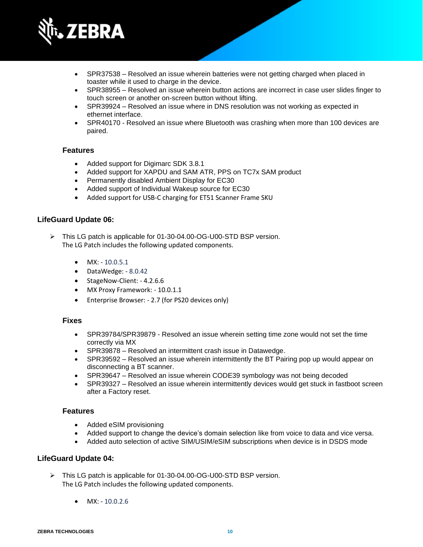

- SPR37538 Resolved an issue wherein batteries were not getting charged when placed in toaster while it used to charge in the device.
- SPR38955 Resolved an issue wherein button actions are incorrect in case user slides finger to touch screen or another on-screen button without lifting.
- SPR39924 Resolved an issue where in DNS resolution was not working as expected in ethernet interface.
- SPR40170 Resolved an issue where Bluetooth was crashing when more than 100 devices are paired.

# **Features**

- Added support for Digimarc SDK 3.8.1
- Added support for XAPDU and SAM ATR, PPS on TC7x SAM product
- Permanently disabled Ambient Display for EC30
- Added support of Individual Wakeup source for EC30
- Added support for USB-C charging for ET51 Scanner Frame SKU

#### **LifeGuard Update 06:**

- ➢ This LG patch is applicable for 01-30-04.00-OG-U00-STD BSP version. The LG Patch includes the following updated components.
	- $\bullet$  MX: -10.0.5.1
	- DataWedge: 8.0.42
	- StageNow-Client: 4.2.6.6
	- MX Proxy Framework: 10.0.1.1
	- Enterprise Browser: 2.7 (for PS20 devices only)

#### **Fixes**

- SPR39784/SPR39879 Resolved an issue wherein setting time zone would not set the time correctly via MX
- SPR39878 Resolved an intermittent crash issue in Datawedge.
- SPR39592 Resolved an issue wherein intermittently the BT Pairing pop up would appear on disconnecting a BT scanner.
- SPR39647 Resolved an issue wherein CODE39 symbology was not being decoded
- SPR39327 Resolved an issue wherein intermittently devices would get stuck in fastboot screen after a Factory reset.

#### **Features**

- Added eSIM provisioning
- Added support to change the device's domain selection like from voice to data and vice versa.
- Added auto selection of active SIM/USIM/eSIM subscriptions when device is in DSDS mode

# **LifeGuard Update 04:**

- ➢ This LG patch is applicable for 01-30-04.00-OG-U00-STD BSP version. The LG Patch includes the following updated components.
	- $MX: -10.0.2.6$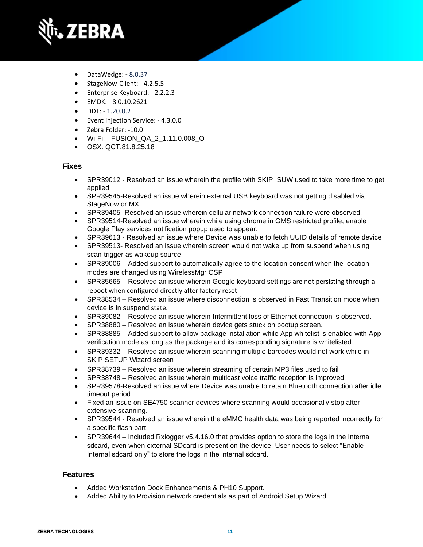

- DataWedge: 8.0.37
- StageNow-Client: 4.2.5.5
- Enterprise Keyboard: 2.2.2.3
- EMDK: 8.0.10.2621
- DDT: 1.20.0.2
- Event injection Service: 4.3.0.0
- Zebra Folder: -10.0
- Wi-Fi: FUSION\_QA\_2\_1.11.0.008\_O
- OSX: QCT.81.8.25.18

# **Fixes**

- SPR39012 Resolved an issue wherein the profile with SKIP SUW used to take more time to get applied
- SPR39545-Resolved an issue wherein external USB keyboard was not getting disabled via StageNow or MX
- SPR39405- Resolved an issue wherein cellular network connection failure were observed.
- SPR39514-Resolved an issue wherein while using chrome in GMS restricted profile, enable Google Play services notification popup used to appear.
- SPR39613 Resolved an issue where Device was unable to fetch UUID details of remote device
- SPR39513- Resolved an issue wherein screen would not wake up from suspend when using scan-trigger as wakeup source
- SPR39006 Added support to automatically agree to the location consent when the location modes are changed using WirelessMgr CSP
- SPR35665 Resolved an issue wherein Google keyboard settings are not persisting through a reboot when configured directly after factory reset
- SPR38534 Resolved an issue where disconnection is observed in Fast Transition mode when device is in suspend state.
- SPR39082 Resolved an issue wherein Intermittent loss of Ethernet connection is observed.
- SPR38880 Resolved an issue wherein device gets stuck on bootup screen.
- SPR38885 Added support to allow package installation while App whitelist is enabled with App verification mode as long as the package and its corresponding signature is whitelisted.
- SPR39332 Resolved an issue wherein scanning multiple barcodes would not work while in SKIP SETUP Wizard screen
- SPR38739 Resolved an issue wherein streaming of certain MP3 files used to fail
- SPR38748 Resolved an issue wherein multicast voice traffic reception is improved.
- SPR39578-Resolved an issue where Device was unable to retain Bluetooth connection after idle timeout period
- Fixed an issue on SE4750 scanner devices where scanning would occasionally stop after extensive scanning.
- SPR39544 Resolved an issue wherein the eMMC health data was being reported incorrectly for a specific flash part.
- SPR39644 Included Rxlogger v5.4.16.0 that provides option to store the logs in the Internal sdcard, even when external SDcard is present on the device. User needs to select "Enable Internal sdcard only" to store the logs in the internal sdcard.

- Added Workstation Dock Enhancements & PH10 Support.
- Added Ability to Provision network credentials as part of Android Setup Wizard.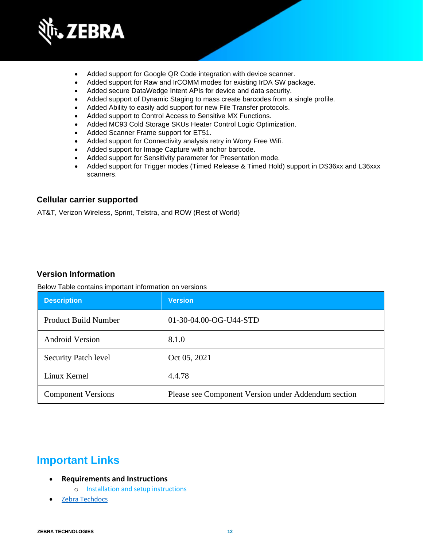

- Added support for Google QR Code integration with device scanner.
- Added support for Raw and IrCOMM modes for existing IrDA SW package.
- Added secure DataWedge Intent APIs for device and data security.
- Added support of Dynamic Staging to mass create barcodes from a single profile.
- Added Ability to easily add support for new File Transfer protocols.
- Added support to Control Access to Sensitive MX Functions.
- Added MC93 Cold Storage SKUs Heater Control Logic Optimization.
- Added Scanner Frame support for ET51.
- Added support for Connectivity analysis retry in Worry Free Wifi.
- Added support for Image Capture with anchor barcode.
- Added support for Sensitivity parameter for Presentation mode.
- Added support for Trigger modes (Timed Release & Timed Hold) support in DS36xx and L36xxx scanners.

# **Cellular carrier supported**

AT&T, Verizon Wireless, Sprint, Telstra, and ROW (Rest of World)

# **Version Information**

Below Table contains important information on versions

| <b>Description</b>          | <b>Version</b>                                      |
|-----------------------------|-----------------------------------------------------|
| <b>Product Build Number</b> | 01-30-04.00-OG-U44-STD                              |
| <b>Android Version</b>      | 8.1.0                                               |
| Security Patch level        | Oct 05, 2021                                        |
| Linux Kernel                | 4.4.78                                              |
| <b>Component Versions</b>   | Please see Component Version under Addendum section |

# **Important Links**

- **Requirements and Instructions** 
	- o [Installation and setup instructions](https://www.zebra.com/content/dam/zebra_new_ia/en-us/software/operating-system/helios/oreo-os-update-instructions.pdf)
- [Zebra Techdocs](https://techdocs.zebra.com/)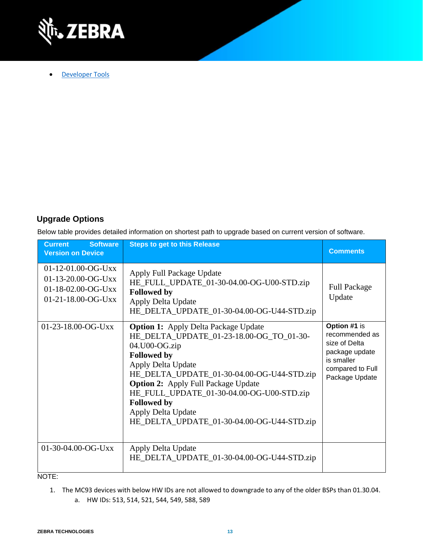

• [Developer Tools](https://developer.zebra.com/)

# <span id="page-12-0"></span>**Upgrade Options**

Below table provides detailed information on shortest path to upgrade based on current version of software.

| <b>Software</b><br><b>Current</b><br><b>Version on Device</b>                          | <b>Steps to get to this Release</b>                                                                                                                                                                                                                                                                                                                                                     | <b>Comments</b>                                                                                                       |
|----------------------------------------------------------------------------------------|-----------------------------------------------------------------------------------------------------------------------------------------------------------------------------------------------------------------------------------------------------------------------------------------------------------------------------------------------------------------------------------------|-----------------------------------------------------------------------------------------------------------------------|
| $01-12-01.00-OG-Uxx$<br>01-13-20.00-OG-Uxx<br>01-18-02.00-OG-Uxx<br>01-21-18.00-OG-Uxx | Apply Full Package Update<br>HE_FULL_UPDATE_01-30-04.00-OG-U00-STD.zip<br><b>Followed by</b><br><b>Apply Delta Update</b><br>HE_DELTA_UPDATE_01-30-04.00-OG-U44-STD.zip                                                                                                                                                                                                                 | <b>Full Package</b><br>Update                                                                                         |
| $01-23-18.00-OG-Uxx$                                                                   | <b>Option 1:</b> Apply Delta Package Update<br>HE_DELTA_UPDATE_01-23-18.00-OG_TO_01-30-<br>04.U00-OG.zip<br><b>Followed by</b><br>Apply Delta Update<br>HE_DELTA_UPDATE_01-30-04.00-OG-U44-STD.zip<br><b>Option 2:</b> Apply Full Package Update<br>HE_FULL_UPDATE_01-30-04.00-OG-U00-STD.zip<br><b>Followed by</b><br>Apply Delta Update<br>HE_DELTA_UPDATE_01-30-04.00-OG-U44-STD.zip | Option #1 is<br>recommended as<br>size of Delta<br>package update<br>is smaller<br>compared to Full<br>Package Update |
| 01-30-04.00-OG-Uxx                                                                     | Apply Delta Update<br>HE_DELTA_UPDATE_01-30-04.00-OG-U44-STD.zip                                                                                                                                                                                                                                                                                                                        |                                                                                                                       |

NOTE:

1. The MC93 devices with below HW IDs are not allowed to downgrade to any of the older BSPs than 01.30.04. a. HW IDs: 513, 514, 521, 544, 549, 588, 589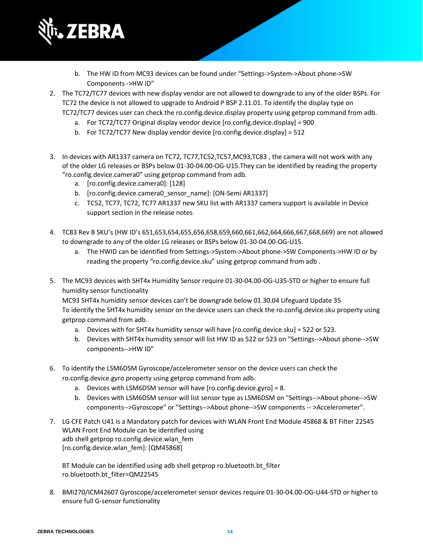

- b. The HW ID from MC93 devices can be found under "Settings->System->About phone->SW Components ->HW ID"
- 2. The TC72/TC77 devices with new display vendor are not allowed to downgrade to any of the older BSPs. For TC72 the device is not allowed to upgrade to Android P BSP 2.11.01. To identify the display type on TC72/TC77 devices user can check the ro.config.device.display property using getprop command from adb.
	- a. For TC72/TC77 Original display vendor device [ro.config.device.display] = 900
	- b. For TC72/TC77 New display vendor device [ro.config.device.display] = 512
- 3. In devices with AR1337 camera on TC72, TC77,TC52,TC57,MC93,TC83 , the camera will not work with any of the older LG releases or BSPs below 01-30-04.00-OG-U15.They can be identified by reading the property "ro.config.device.camera0" using getprop command from adb.
	- a. [ro.config.device.camera0]: [128]
	- b. [ro.config.device.camera0\_sensor\_name]: [ON-Semi AR1337]
	- c. TC52, TC77, TC72, TC77 AR1337 new SKU list with AR1337 camera support is available in Device support section in the release notes
- 4. TC83 Rev B SKU's (HW ID's 651,653,654,655,656,658,659,660,661,662,664,666,667,668,669) are not allowed to downgrade to any of the older LG releases or BSPs below 01-30-04.00-OG-U15.
	- a. The HWID can be identified from Settings->System->About phone->SW Components->HW ID or by reading the property "ro.config.device.sku" using getprop command from adb .
- 5. The MC93 devices with SHT4x Humidity Sensor require 01-30-04.00-OG-U35-STD or higher to ensure full humidity sensor functionality

MC93 SHT4x humidity sensor devices can't be downgrade below 01.30.04 Lifeguard Update 35 To identify the SHT4x humidity sensor on the device users can check the ro.config.device.sku property using getprop command from adb.

- a. Devices with for SHT4x humidity sensor will have [ro.config.device.sku] = 522 or 523.
- b. Devices with SHT4x humidity sensor will list HW ID as 522 or 523 on "Settings-->About phone-->SW components-->HW ID"
- 6. To identify the LSM6DSM Gyroscope/accelerometer sensor on the device users can check the ro.config.device.gyro property using getprop command from adb.
	- a. Devices with LSM6DSM sensor will have [ro.config.device.gyro] = 8.
	- b. Devices with LSM6DSM sensor will list sensor type as LSM6DSM on "Settings-->About phone-->SW components-->Gyroscope" or "Settings-->About phone-->SW components -- >Accelerometer".
- 7. LG CFE Patch U41 is a Mandatory patch for devices with WLAN Front End Module 45868 & BT Filter 22545 WLAN Front End Module can be identified using adb shell getprop ro.config.device.wlan\_fem [ro.config.device.wlan\_fem]: [QM45868]

BT Module can be identified using adb shell getprop ro.bluetooth.bt filter ro.bluetooth.bt\_filter=QM22545

8. BMI270/ICM42607 Gyroscope/accelerometer sensor devices require 01-30-04.00-OG-U44-STD or higher to ensure full G-sensor functionality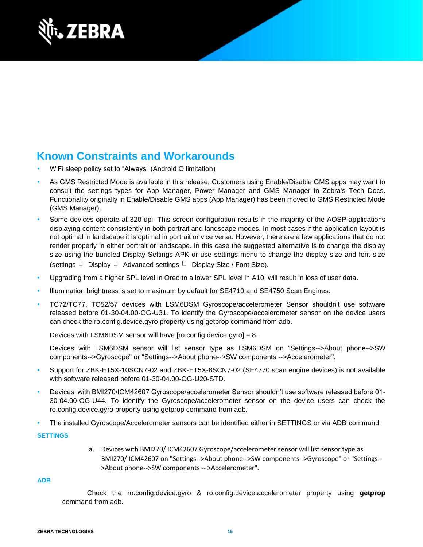

# **Known Constraints and Workarounds**

- WiFi sleep policy set to "Always" (Android O limitation)
- As GMS Restricted Mode is available in this release, Customers using Enable/Disable GMS apps may want to consult the settings types for App Manager, Power Manager and GMS Manager in Zebra's Tech Docs. Functionality originally in Enable/Disable GMS apps (App Manager) has been moved to GMS Restricted Mode (GMS Manager).
- Some devices operate at 320 dpi. This screen configuration results in the majority of the AOSP applications displaying content consistently in both portrait and landscape modes. In most cases if the application layout is not optimal in landscape it is optimal in portrait or vice versa. However, there are a few applications that do not render properly in either portrait or landscape. In this case the suggested alternative is to change the display size using the bundled Display Settings APK or use settings menu to change the display size and font size (settings  $\Box$  Display  $\Box$  Advanced settings  $\Box$  Display Size / Font Size).
- Upgrading from a higher SPL level in Oreo to a lower SPL level in A10, will result in loss of user data.
- Illumination brightness is set to maximum by default for SE4710 and SE4750 Scan Engines.
- TC72/TC77, TC52/57 devices with LSM6DSM Gyroscope/accelerometer Sensor shouldn't use software released before 01-30-04.00-OG-U31. To identify the Gyroscope/accelerometer sensor on the device users can check the ro.config.device.gyro property using getprop command from adb.

Devices with LSM6DSM sensor will have [ro.config.device.gyro] = 8.

Devices with LSM6DSM sensor will list sensor type as LSM6DSM on "Settings-->About phone-->SW components-->Gyroscope" or "Settings-->About phone-->SW components -->Accelerometer".

- Support for ZBK-ET5X-10SCN7-02 and ZBK-ET5X-8SCN7-02 (SE4770 scan engine devices) is not available with software released before 01-30-04.00-OG-U20-STD.
- Devices with BMI270/ICM42607 Gyroscope/accelerometer Sensor shouldn't use software released before 01- 30-04.00-OG-U44. To identify the Gyroscope/accelerometer sensor on the device users can check the ro.config.device.gyro property using getprop command from adb.

• The installed Gyroscope/Accelerometer sensors can be identified either in SETTINGS or via ADB command:

# **SETTINGS**

a. Devices with BMI270/ ICM42607 Gyroscope/accelerometer sensor will list sensor type as BMI270/ ICM42607 on "Settings-->About phone-->SW components-->Gyroscope" or "Settings-- >About phone-->SW components -- >Accelerometer".

#### **ADB**

Check the ro.config.device.gyro & ro.config.device.accelerometer property using **getprop** command from adb.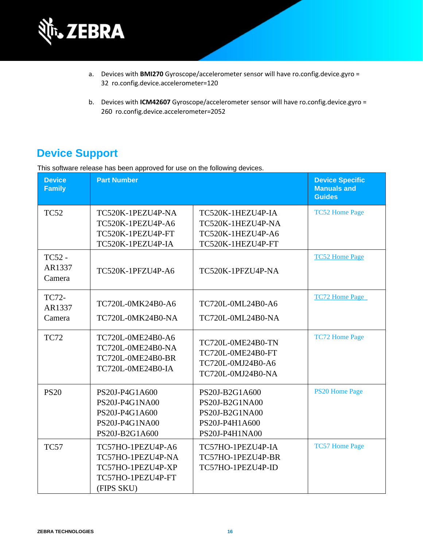

- a. Devices with **BMI270** Gyroscope/accelerometer sensor will have ro.config.device.gyro = 32 ro.config.device.accelerometer=120
- b. Devices with **ICM42607** Gyroscope/accelerometer sensor will have ro.config.device.gyro = 260 ro.config.device.accelerometer=2052

# **Device Support**

This software release has been approved for use on the following devices.

| <b>Device</b><br><b>Family</b> | <b>Part Number</b>                                                                             |                                                                                        | <b>Device Specific</b><br><b>Manuals and</b><br><b>Guides</b> |
|--------------------------------|------------------------------------------------------------------------------------------------|----------------------------------------------------------------------------------------|---------------------------------------------------------------|
| <b>TC52</b>                    | TC520K-1PEZU4P-NA<br>TC520K-1PEZU4P-A6<br>TC520K-1PEZU4P-FT<br>TC520K-1PEZU4P-IA               | TC520K-1HEZU4P-IA<br>TC520K-1HEZU4P-NA<br>TC520K-1HEZU4P-A6<br>TC520K-1HEZU4P-FT       | <b>TC52 Home Page</b>                                         |
| TC52 -<br>AR1337<br>Camera     | TC520K-1PFZU4P-A6                                                                              | TC520K-1PFZU4P-NA                                                                      | <b>TC52 Home Page</b>                                         |
| TC72-<br>AR1337<br>Camera      | TC720L-0MK24B0-A6<br>TC720L-0MK24B0-NA                                                         | TC720L-0ML24B0-A6<br>TC720L-0ML24B0-NA                                                 | <b>TC72 Home Page</b>                                         |
| <b>TC72</b>                    | TC720L-0ME24B0-A6<br>TC720L-0ME24B0-NA<br>TC720L-0ME24B0-BR<br>TC720L-0ME24B0-IA               | TC720L-0ME24B0-TN<br>TC720L-0ME24B0-FT<br>TC720L-0MJ24B0-A6<br>TC720L-0MJ24B0-NA       | <b>TC72 Home Page</b>                                         |
| <b>PS20</b>                    | PS20J-P4G1A600<br>PS20J-P4G1NA00<br>PS20J-P4G1A600<br>PS20J-P4G1NA00<br>PS20J-B2G1A600         | PS20J-B2G1A600<br>PS20J-B2G1NA00<br>PS20J-B2G1NA00<br>PS20J-P4H1A600<br>PS20J-P4H1NA00 | <b>PS20 Home Page</b>                                         |
| <b>TC57</b>                    | TC57HO-1PEZU4P-A6<br>TC57HO-1PEZU4P-NA<br>TC57HO-1PEZU4P-XP<br>TC57HO-1PEZU4P-FT<br>(FIPS SKU) | TC57HO-1PEZU4P-IA<br>TC57HO-1PEZU4P-BR<br>TC57HO-1PEZU4P-ID                            | <b>TC57 Home Page</b>                                         |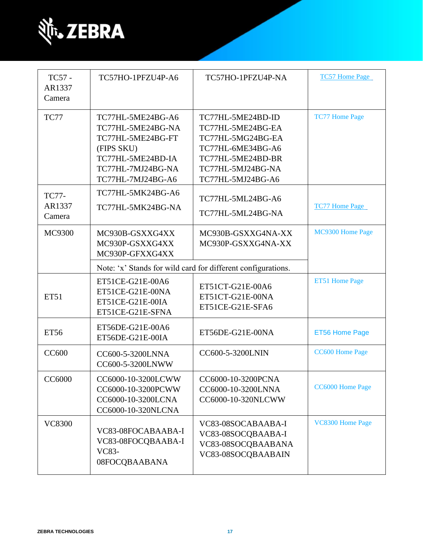

| TC57 -<br>AR1337<br>Camera       | TC57HO-1PFZU4P-A6                                                                                                                        | TC57HO-1PFZU4P-NA                                                                                                                               | <b>TC57 Home Page</b>  |
|----------------------------------|------------------------------------------------------------------------------------------------------------------------------------------|-------------------------------------------------------------------------------------------------------------------------------------------------|------------------------|
| TC77                             | TC77HL-5ME24BG-A6<br>TC77HL-5ME24BG-NA<br>TC77HL-5ME24BG-FT<br>(FIPS SKU)<br>TC77HL-5ME24BD-IA<br>TC77HL-7MJ24BG-NA<br>TC77HL-7MJ24BG-A6 | TC77HL-5ME24BD-ID<br>TC77HL-5ME24BG-EA<br>TC77HL-5MG24BG-EA<br>TC77HL-6ME34BG-A6<br>TC77HL-5ME24BD-BR<br>TC77HL-5MJ24BG-NA<br>TC77HL-5MJ24BG-A6 | <b>TC77 Home Page</b>  |
| <b>TC77-</b><br>AR1337<br>Camera | TC77HL-5MK24BG-A6<br>TC77HL-5MK24BG-NA                                                                                                   | TC77HL-5ML24BG-A6<br>TC77HL-5ML24BG-NA                                                                                                          | <b>TC77 Home Page</b>  |
| MC9300                           | MC930B-GSXXG4XX<br>MC930P-GSXXG4XX<br>MC930P-GFXXG4XX                                                                                    | MC930B-GSXXG4NA-XX<br>MC930P-GSXXG4NA-XX                                                                                                        | MC9300 Home Page       |
|                                  |                                                                                                                                          | Note: 'x' Stands for wild card for different configurations.                                                                                    |                        |
| <b>ET51</b>                      | ET51CE-G21E-00A6<br>ET51CE-G21E-00NA<br>ET51CE-G21E-00IA<br>ET51CE-G21E-SFNA                                                             | ET51CT-G21E-00A6<br>ET51CT-G21E-00NA<br>ET51CE-G21E-SFA6                                                                                        | <b>ET51 Home Page</b>  |
| <b>ET56</b>                      | ET56DE-G21E-00A6<br>ET56DE-G21E-00IA                                                                                                     | ET56DE-G21E-00NA                                                                                                                                | <b>ET56 Home Page</b>  |
| <b>CC600</b>                     | CC600-5-3200LNNA<br>CC600-5-3200LNWW                                                                                                     | CC600-5-3200LNIN                                                                                                                                | <b>CC600 Home Page</b> |
| CC6000                           | CC6000-10-3200LCWW<br>CC6000-10-3200PCWW<br>CC6000-10-3200LCNA<br>CC6000-10-320NLCNA                                                     | CC6000-10-3200PCNA<br>CC6000-10-3200LNNA<br>CC6000-10-320NLCWW                                                                                  | CC6000 Home Page       |
| <b>VC8300</b>                    | VC83-08FOCABAABA-I<br>VC83-08FOCQBAABA-I<br>VC83-<br>08FOCQBAABANA                                                                       | VC83-08SOCABAABA-I<br>VC83-08SOCQBAABA-I<br>VC83-08SOCQBAABANA<br>VC83-08SOCQBAABAIN                                                            | VC8300 Home Page       |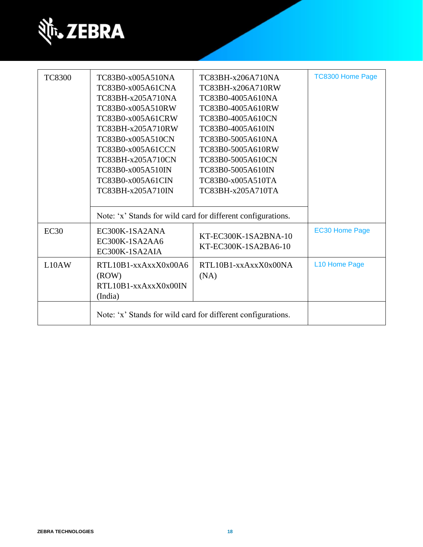

| <b>TC8300</b> | TC83B0-x005A510NA<br>TC83B0-x005A61CNA<br>TC83BH-x205A710NA<br>TC83B0-x005A510RW<br>TC83B0-x005A61CRW<br>TC83BH-x205A710RW<br>TC83B0-x005A510CN<br>TC83B0-x005A61CCN<br>TC83BH-x205A710CN<br>TC83B0-x005A510IN<br>TC83B0-x005A61CIN<br>TC83BH-x205A710IN | TC83BH-x206A710NA<br>TC83BH-x206A710RW<br>TC83B0-4005A610NA<br>TC83B0-4005A610RW<br>TC83B0-4005A610CN<br>TC83B0-4005A610IN<br>TC83B0-5005A610NA<br>TC83B0-5005A610RW<br>TC83B0-5005A610CN<br>TC83B0-5005A610IN<br>TC83B0-x005A510TA<br>TC83BH-x205A710TA | <b>TC8300 Home Page</b> |
|---------------|----------------------------------------------------------------------------------------------------------------------------------------------------------------------------------------------------------------------------------------------------------|----------------------------------------------------------------------------------------------------------------------------------------------------------------------------------------------------------------------------------------------------------|-------------------------|
|               |                                                                                                                                                                                                                                                          | Note: 'x' Stands for wild card for different configurations.                                                                                                                                                                                             |                         |
| EC30          | EC300K-1SA2ANA<br>EC300K-1SA2AA6<br>EC300K-1SA2AIA                                                                                                                                                                                                       | KT-EC300K-1SA2BNA-10<br>KT-EC300K-1SA2BA6-10                                                                                                                                                                                                             | <b>EC30 Home Page</b>   |
| L10AW         | RTL10B1-xxAxxX0x00A6<br>(ROW)<br>RTL10B1-xxAxxX0x00IN<br>(India)                                                                                                                                                                                         | $RTL10B1 - xxAxxX0x00NA$<br>(NA)                                                                                                                                                                                                                         | L10 Home Page           |
|               |                                                                                                                                                                                                                                                          | Note: 'x' Stands for wild card for different configurations.                                                                                                                                                                                             |                         |